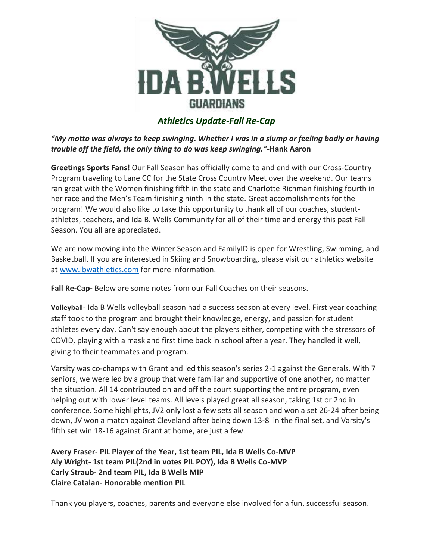

# *Athletics Update-Fall Re-Cap*

*"My motto was always to keep swinging. Whether I was in a slump or feeling badly or having trouble off the field, the only thing to do was keep swinging."-***Hank Aaron**

**Greetings Sports Fans!** Our Fall Season has officially come to and end with our Cross-Country Program traveling to Lane CC for the State Cross Country Meet over the weekend. Our teams ran great with the Women finishing fifth in the state and Charlotte Richman finishing fourth in her race and the Men's Team finishing ninth in the state. Great accomplishments for the program! We would also like to take this opportunity to thank all of our coaches, studentathletes, teachers, and Ida B. Wells Community for all of their time and energy this past Fall Season. You all are appreciated.

We are now moving into the Winter Season and FamilyID is open for Wrestling, Swimming, and Basketball. If you are interested in Skiing and Snowboarding, please visit our athletics website at [www.ibwathletics.com](http://www.ibwathletics.com/) for more information.

**Fall Re-Cap-** Below are some notes from our Fall Coaches on their seasons.

**Volleyball-** Ida B Wells volleyball season had a success season at every level. First year coaching staff took to the program and brought their knowledge, energy, and passion for student athletes every day. Can't say enough about the players either, competing with the stressors of COVID, playing with a mask and first time back in school after a year. They handled it well, giving to their teammates and program.

Varsity was co-champs with Grant and led this season's series 2-1 against the Generals. With 7 seniors, we were led by a group that were familiar and supportive of one another, no matter the situation. All 14 contributed on and off the court supporting the entire program, even helping out with lower level teams. All levels played great all season, taking 1st or 2nd in conference. Some highlights, JV2 only lost a few sets all season and won a set 26-24 after being down, JV won a match against Cleveland after being down 13-8 in the final set, and Varsity's fifth set win 18-16 against Grant at home, are just a few.

**Avery Fraser- PIL Player of the Year, 1st team PIL, Ida B Wells Co-MVP Aly Wright- 1st team PIL(2nd in votes PIL POY), Ida B Wells Co-MVP Carly Straub- 2nd team PIL, Ida B Wells MIP Claire Catalan- Honorable mention PIL**

Thank you players, coaches, parents and everyone else involved for a fun, successful season.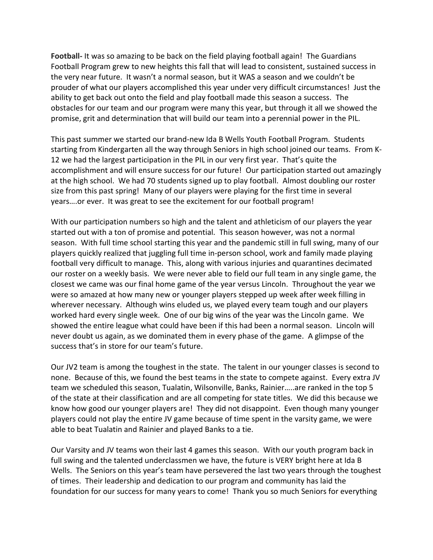**Football-** It was so amazing to be back on the field playing football again! The Guardians Football Program grew to new heights this fall that will lead to consistent, sustained success in the very near future. It wasn't a normal season, but it WAS a season and we couldn't be prouder of what our players accomplished this year under very difficult circumstances! Just the ability to get back out onto the field and play football made this season a success. The obstacles for our team and our program were many this year, but through it all we showed the promise, grit and determination that will build our team into a perennial power in the PIL.

This past summer we started our brand-new Ida B Wells Youth Football Program. Students starting from Kindergarten all the way through Seniors in high school joined our teams. From K-12 we had the largest participation in the PIL in our very first year. That's quite the accomplishment and will ensure success for our future! Our participation started out amazingly at the high school. We had 70 students signed up to play football. Almost doubling our roster size from this past spring! Many of our players were playing for the first time in several years….or ever. It was great to see the excitement for our football program!

With our participation numbers so high and the talent and athleticism of our players the year started out with a ton of promise and potential. This season however, was not a normal season. With full time school starting this year and the pandemic still in full swing, many of our players quickly realized that juggling full time in-person school, work and family made playing football very difficult to manage. This, along with various injuries and quarantines decimated our roster on a weekly basis. We were never able to field our full team in any single game, the closest we came was our final home game of the year versus Lincoln. Throughout the year we were so amazed at how many new or younger players stepped up week after week filling in wherever necessary. Although wins eluded us, we played every team tough and our players worked hard every single week. One of our big wins of the year was the Lincoln game. We showed the entire league what could have been if this had been a normal season. Lincoln will never doubt us again, as we dominated them in every phase of the game. A glimpse of the success that's in store for our team's future.

Our JV2 team is among the toughest in the state. The talent in our younger classes is second to none. Because of this, we found the best teams in the state to compete against. Every extra JV team we scheduled this season, Tualatin, Wilsonville, Banks, Rainier…..are ranked in the top 5 of the state at their classification and are all competing for state titles. We did this because we know how good our younger players are! They did not disappoint. Even though many younger players could not play the entire JV game because of time spent in the varsity game, we were able to beat Tualatin and Rainier and played Banks to a tie.

Our Varsity and JV teams won their last 4 games this season. With our youth program back in full swing and the talented underclassmen we have, the future is VERY bright here at Ida B Wells. The Seniors on this year's team have persevered the last two years through the toughest of times. Their leadership and dedication to our program and community has laid the foundation for our success for many years to come! Thank you so much Seniors for everything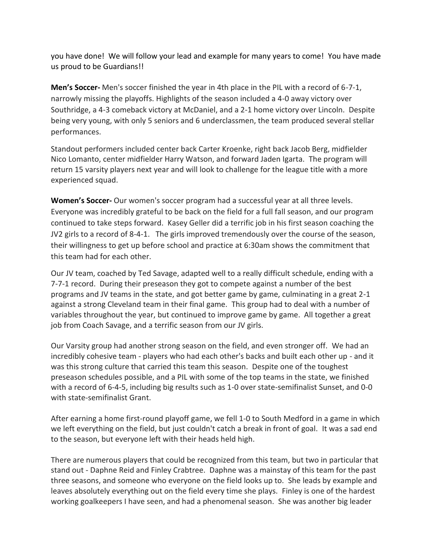you have done! We will follow your lead and example for many years to come! You have made us proud to be Guardians!!

**Men's Soccer-** Men's soccer finished the year in 4th place in the PIL with a record of 6-7-1, narrowly missing the playoffs. Highlights of the season included a 4-0 away victory over Southridge, a 4-3 comeback victory at McDaniel, and a 2-1 home victory over Lincoln. Despite being very young, with only 5 seniors and 6 underclassmen, the team produced several stellar performances.

Standout performers included center back Carter Kroenke, right back Jacob Berg, midfielder Nico Lomanto, center midfielder Harry Watson, and forward Jaden Igarta. The program will return 15 varsity players next year and will look to challenge for the league title with a more experienced squad.

**Women's Soccer-** Our women's soccer program had a successful year at all three levels. Everyone was incredibly grateful to be back on the field for a full fall season, and our program continued to take steps forward. Kasey Geller did a terrific job in his first season coaching the JV2 girls to a record of 8-4-1. The girls improved tremendously over the course of the season, their willingness to get up before school and practice at 6:30am shows the commitment that this team had for each other.

Our JV team, coached by Ted Savage, adapted well to a really difficult schedule, ending with a 7-7-1 record. During their preseason they got to compete against a number of the best programs and JV teams in the state, and got better game by game, culminating in a great 2-1 against a strong Cleveland team in their final game. This group had to deal with a number of variables throughout the year, but continued to improve game by game. All together a great job from Coach Savage, and a terrific season from our JV girls.

Our Varsity group had another strong season on the field, and even stronger off. We had an incredibly cohesive team - players who had each other's backs and built each other up - and it was this strong culture that carried this team this season. Despite one of the toughest preseason schedules possible, and a PIL with some of the top teams in the state, we finished with a record of 6-4-5, including big results such as 1-0 over state-semifinalist Sunset, and 0-0 with state-semifinalist Grant.

After earning a home first-round playoff game, we fell 1-0 to South Medford in a game in which we left everything on the field, but just couldn't catch a break in front of goal. It was a sad end to the season, but everyone left with their heads held high.

There are numerous players that could be recognized from this team, but two in particular that stand out - Daphne Reid and Finley Crabtree. Daphne was a mainstay of this team for the past three seasons, and someone who everyone on the field looks up to. She leads by example and leaves absolutely everything out on the field every time she plays. Finley is one of the hardest working goalkeepers I have seen, and had a phenomenal season. She was another big leader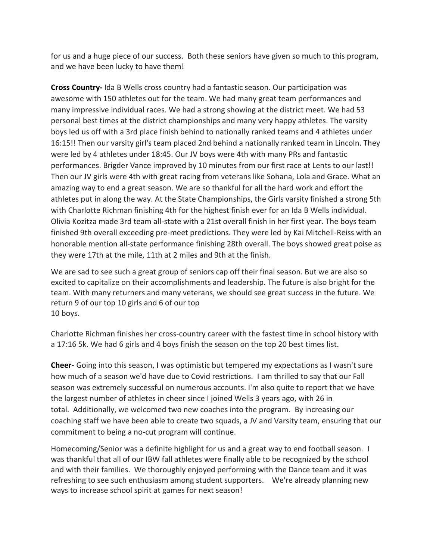for us and a huge piece of our success. Both these seniors have given so much to this program, and we have been lucky to have them!

**Cross Country-** Ida B Wells cross country had a fantastic season. Our participation was awesome with 150 athletes out for the team. We had many great team performances and many impressive individual races. We had a strong showing at the district meet. We had 53 personal best times at the district championships and many very happy athletes. The varsity boys led us off with a 3rd place finish behind to nationally ranked teams and 4 athletes under 16:15!! Then our varsity girl's team placed 2nd behind a nationally ranked team in Lincoln. They were led by 4 athletes under 18:45. Our JV boys were 4th with many PRs and fantastic performances. Brigder Vance improved by 10 minutes from our first race at Lents to our last!! Then our JV girls were 4th with great racing from veterans like Sohana, Lola and Grace. What an amazing way to end a great season. We are so thankful for all the hard work and effort the athletes put in along the way. At the State Championships, the Girls varsity finished a strong 5th with Charlotte Richman finishing 4th for the highest finish ever for an Ida B Wells individual. Olivia Kozitza made 3rd team all-state with a 21st overall finish in her first year. The boys team finished 9th overall exceeding pre-meet predictions. They were led by Kai Mitchell-Reiss with an honorable mention all-state performance finishing 28th overall. The boys showed great poise as they were 17th at the mile, 11th at 2 miles and 9th at the finish.

We are sad to see such a great group of seniors cap off their final season. But we are also so excited to capitalize on their accomplishments and leadership. The future is also bright for the team. With many returners and many veterans, we should see great success in the future. We return 9 of our top 10 girls and 6 of our top 10 boys.

Charlotte Richman finishes her cross-country career with the fastest time in school history with a 17:16 5k. We had 6 girls and 4 boys finish the season on the top 20 best times list.

**Cheer-** Going into this season, I was optimistic but tempered my expectations as I wasn't sure how much of a season we'd have due to Covid restrictions. I am thrilled to say that our Fall season was extremely successful on numerous accounts. I'm also quite to report that we have the largest number of athletes in cheer since I joined Wells 3 years ago, with 26 in total. Additionally, we welcomed two new coaches into the program. By increasing our coaching staff we have been able to create two squads, a JV and Varsity team, ensuring that our commitment to being a no-cut program will continue.

Homecoming/Senior was a definite highlight for us and a great way to end football season. I was thankful that all of our IBW fall athletes were finally able to be recognized by the school and with their families. We thoroughly enjoyed performing with the Dance team and it was refreshing to see such enthusiasm among student supporters. We're already planning new ways to increase school spirit at games for next season!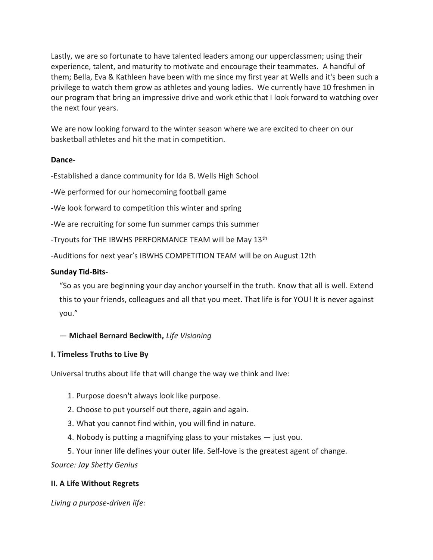Lastly, we are so fortunate to have talented leaders among our upperclassmen; using their experience, talent, and maturity to motivate and encourage their teammates. A handful of them; Bella, Eva & Kathleen have been with me since my first year at Wells and it's been such a privilege to watch them grow as athletes and young ladies. We currently have 10 freshmen in our program that bring an impressive drive and work ethic that I look forward to watching over the next four years.

We are now looking forward to the winter season where we are excited to cheer on our basketball athletes and hit the mat in competition.

## **Dance-**

-Established a dance community for Ida B. Wells High School

-We performed for our homecoming football game

-We look forward to competition this winter and spring

-We are recruiting for some fun summer camps this summer

-Tryouts for THE IBWHS PERFORMANCE TEAM will be May 13<sup>th</sup>

-Auditions for next year's IBWHS COMPETITION TEAM will be on August 12th

### **Sunday Tid-Bits-**

"So as you are beginning your day anchor yourself in the truth. Know that all is well. Extend this to your friends, colleagues and all that you meet. That life is for YOU! It is never against you."

— **Michael Bernard Beckwith,** *Life Visioning*

### **I. Timeless Truths to Live By**

Universal truths about life that will change the way we think and live:

- 1. Purpose doesn't always look like purpose.
- 2. Choose to put yourself out there, again and again.
- 3. What you cannot find within, you will find in nature.
- 4. Nobody is putting a magnifying glass to your mistakes just you.
- 5. Your inner life defines your outer life. Self-love is the greatest agent of change.

*Source: Jay Shetty Genius*

### **II. A Life Without Regrets**

*Living a purpose-driven life:*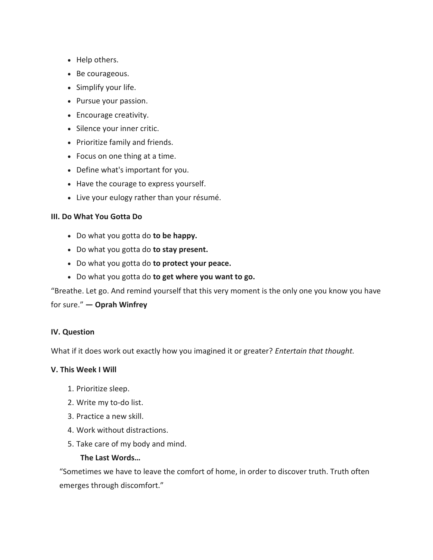- Help others.
- Be courageous.
- Simplify your life.
- Pursue your passion.
- Encourage creativity.
- Silence your inner critic.
- Prioritize family and friends.
- Focus on one thing at a time.
- Define what's important for you.
- Have the courage to express yourself.
- Live your eulogy rather than your résumé.

### **III. Do What You Gotta Do**

- Do what you gotta do **to be happy.**
- Do what you gotta do **to stay present.**
- Do what you gotta do **to protect your peace.**
- Do what you gotta do **to get where you want to go.**

"Breathe. Let go. And remind yourself that this very moment is the only one you know you have

for sure." **— Oprah Winfrey**

### **IV. Question**

What if it does work out exactly how you imagined it or greater? *Entertain that thought.*

### **V. This Week I Will**

- 1. Prioritize sleep.
- 2. Write my to-do list.
- 3. Practice a new skill.
- 4. Work without distractions.
- 5. Take care of my body and mind.

### **The Last Words…**

"Sometimes we have to leave the comfort of home, in order to discover truth. Truth often emerges through discomfort."